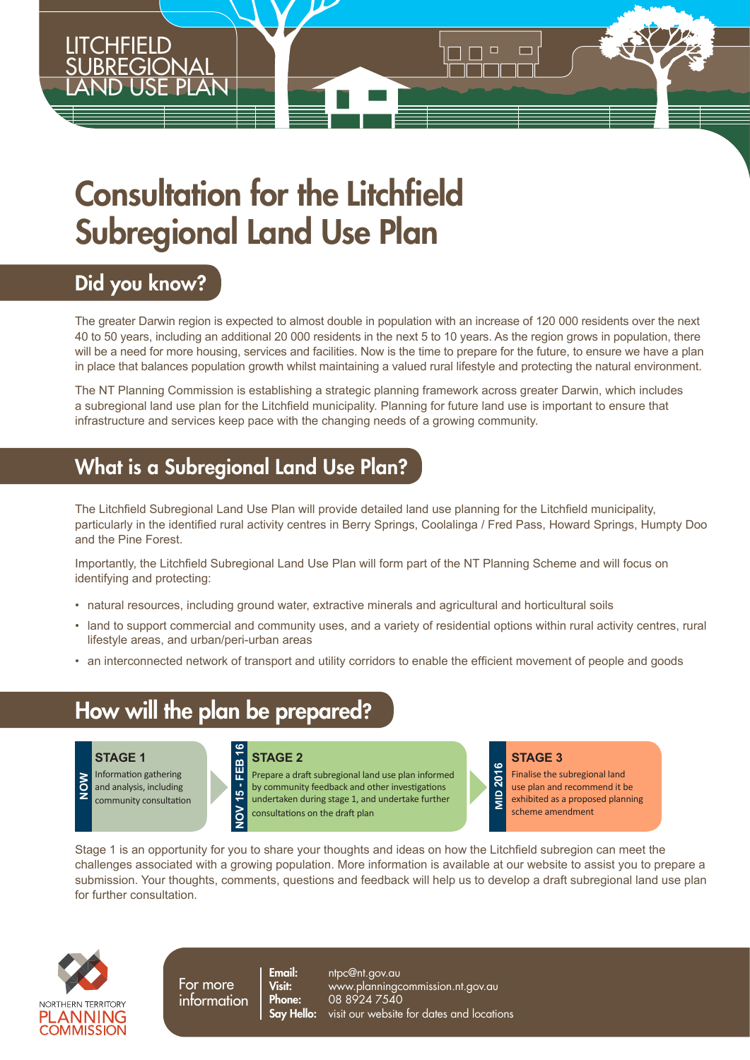# Consultation for the Litchfield Subregional Land Use Plan

### Did you know?

CHFIELD

<u>SUBREGIONAL</u> LAND USE PLAN

The greater Darwin region is expected to almost double in population with an increase of 120 000 residents over the next 40 to 50 years, including an additional 20 000 residents in the next 5 to 10 years. As the region grows in population, there will be a need for more housing, services and facilities. Now is the time to prepare for the future, to ensure we have a plan in place that balances population growth whilst maintaining a valued rural lifestyle and protecting the natural environment.

 $\Box$ 

n

The NT Planning Commission is establishing a strategic planning framework across greater Darwin, which includes a subregional land use plan for the Litchfield municipality. Planning for future land use is important to ensure that infrastructure and services keep pace with the changing needs of a growing community.

### What is a Subregional Land Use Plan?

The Litchfield Subregional Land Use Plan will provide detailed land use planning for the Litchfield municipality, particularly in the identified rural activity centres in Berry Springs, Coolalinga / Fred Pass, Howard Springs, Humpty Doo and the Pine Forest.

Importantly, the Litchfield Subregional Land Use Plan will form part of the NT Planning Scheme and will focus on identifying and protecting:

- natural resources, including ground water, extractive minerals and agricultural and horticultural soils
- land to support commercial and community uses, and a variety of residential options within rural activity centres, rural lifestyle areas, and urban/peri-urban areas
- an interconnected network of transport and utility corridors to enable the efficient movement of people and goods

### How will the plan be prepared?

#### **STAGE 1**

Information gathering and analysis, including community consultation **NOW**

#### **STAGE 2** FEB

**NOV 15 - FEB 16**  Prepare a draft subregional land use plan informed by community feedback and other investigations  $\frac{1}{2}$ undertaken during stage 1, and undertake further consultations on the draft plan

#### **STAGE 3**

2016 **MID 2016** Finalise the subregional land use plan and recommend it be  $\frac{1}{5}$ exhibited as a proposed planning scheme amendment

Stage 1 is an opportunity for you to share your thoughts and ideas on how the Litchfield subregion can meet the challenges associated with a growing population. More information is available at our website to assist you to prepare a submission. Your thoughts, comments, questions and feedback will help us to develop a draft subregional land use plan for further consultation.



For more information <mark>Email:</mark> ntpc@nt.gov.au<br>**Visit:** www.planninac Visit: www.planningcommission.nt.gov.au **Phone:** 08 8924 7540 **Say Hello:** visit our website for dates and locations